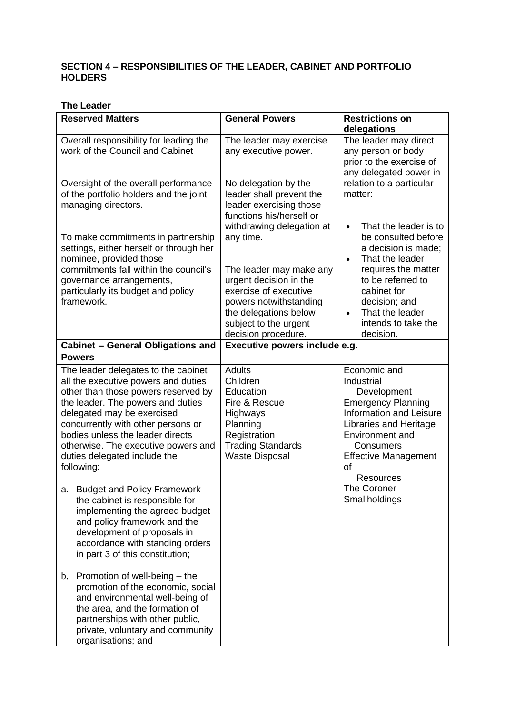## **SECTION 4 – RESPONSIBILITIES OF THE LEADER, CABINET AND PORTFOLIO HOLDERS**

#### **The Leader**

| <b>Reserved Matters</b>                                                                                                                                                                                                                                                                                                                             | <b>General Powers</b>                                                                                                                                | <b>Restrictions on</b>                                                                                                                                                                                                      |
|-----------------------------------------------------------------------------------------------------------------------------------------------------------------------------------------------------------------------------------------------------------------------------------------------------------------------------------------------------|------------------------------------------------------------------------------------------------------------------------------------------------------|-----------------------------------------------------------------------------------------------------------------------------------------------------------------------------------------------------------------------------|
|                                                                                                                                                                                                                                                                                                                                                     |                                                                                                                                                      | delegations                                                                                                                                                                                                                 |
| Overall responsibility for leading the<br>work of the Council and Cabinet                                                                                                                                                                                                                                                                           | The leader may exercise<br>any executive power.                                                                                                      | The leader may direct<br>any person or body<br>prior to the exercise of<br>any delegated power in                                                                                                                           |
| Oversight of the overall performance<br>of the portfolio holders and the joint<br>managing directors.                                                                                                                                                                                                                                               | No delegation by the<br>leader shall prevent the<br>leader exercising those<br>functions his/herself or                                              | relation to a particular<br>matter:                                                                                                                                                                                         |
| To make commitments in partnership<br>settings, either herself or through her<br>nominee, provided those<br>commitments fall within the council's                                                                                                                                                                                                   | withdrawing delegation at<br>any time.<br>The leader may make any                                                                                    | That the leader is to<br>$\bullet$<br>be consulted before<br>a decision is made;<br>That the leader<br>$\bullet$<br>requires the matter                                                                                     |
| governance arrangements,<br>particularly its budget and policy<br>framework.                                                                                                                                                                                                                                                                        | urgent decision in the<br>exercise of executive<br>powers notwithstanding<br>the delegations below<br>subject to the urgent                          | to be referred to<br>cabinet for<br>decision; and<br>That the leader<br>$\bullet$<br>intends to take the                                                                                                                    |
|                                                                                                                                                                                                                                                                                                                                                     | decision procedure.                                                                                                                                  | decision.                                                                                                                                                                                                                   |
| <b>Cabinet - General Obligations and</b><br><b>Powers</b>                                                                                                                                                                                                                                                                                           | Executive powers include e.g.                                                                                                                        |                                                                                                                                                                                                                             |
| The leader delegates to the cabinet<br>all the executive powers and duties<br>other than those powers reserved by<br>the leader. The powers and duties<br>delegated may be exercised<br>concurrently with other persons or<br>bodies unless the leader directs<br>otherwise. The executive powers and<br>duties delegated include the<br>following: | <b>Adults</b><br>Children<br>Education<br>Fire & Rescue<br>Highways<br>Planning<br>Registration<br><b>Trading Standards</b><br><b>Waste Disposal</b> | Economic and<br>Industrial<br>Development<br><b>Emergency Planning</b><br><b>Information and Leisure</b><br>Libraries and Heritage<br><b>Environment and</b><br>Consumers<br><b>Effective Management</b><br>οf<br>Resources |
| a. Budget and Policy Framework<br>the cabinet is responsible for<br>implementing the agreed budget<br>and policy framework and the<br>development of proposals in<br>accordance with standing orders<br>in part 3 of this constitution;                                                                                                             |                                                                                                                                                      | The Coroner<br>Smallholdings                                                                                                                                                                                                |
| Promotion of well-being – the<br>b.<br>promotion of the economic, social<br>and environmental well-being of<br>the area, and the formation of<br>partnerships with other public,<br>private, voluntary and community<br>organisations; and                                                                                                          |                                                                                                                                                      |                                                                                                                                                                                                                             |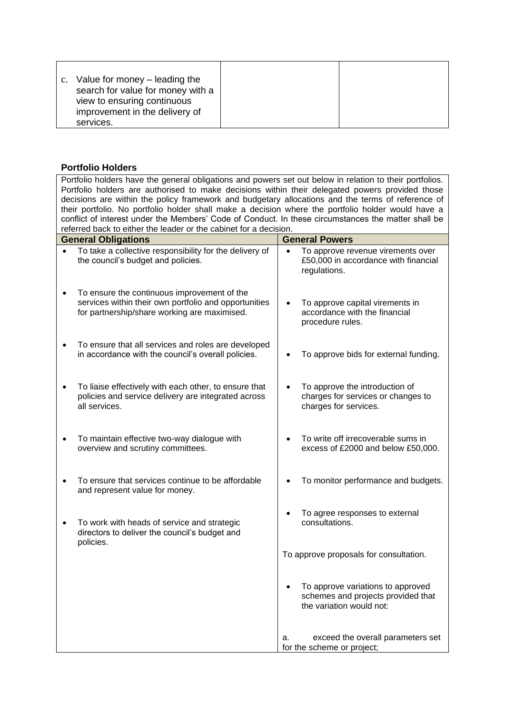|--|

# **Portfolio Holders**

| Portfolio holders have the general obligations and powers set out below in relation to their portfolios.                                             |           |                                                                                                     |
|------------------------------------------------------------------------------------------------------------------------------------------------------|-----------|-----------------------------------------------------------------------------------------------------|
| Portfolio holders are authorised to make decisions within their delegated powers provided those                                                      |           |                                                                                                     |
| decisions are within the policy framework and budgetary allocations and the terms of reference of                                                    |           |                                                                                                     |
| their portfolio. No portfolio holder shall make a decision where the portfolio holder would have a                                                   |           |                                                                                                     |
| conflict of interest under the Members' Code of Conduct. In these circumstances the matter shall be                                                  |           |                                                                                                     |
| referred back to either the leader or the cabinet for a decision.                                                                                    |           |                                                                                                     |
| <b>General Obligations</b>                                                                                                                           |           | <b>General Powers</b>                                                                               |
| To take a collective responsibility for the delivery of<br>the council's budget and policies.                                                        | $\bullet$ | To approve revenue virements over<br>£50,000 in accordance with financial<br>regulations.           |
| To ensure the continuous improvement of the<br>services within their own portfolio and opportunities<br>for partnership/share working are maximised. |           | To approve capital virements in<br>accordance with the financial<br>procedure rules.                |
| To ensure that all services and roles are developed<br>in accordance with the council's overall policies.                                            |           | To approve bids for external funding.                                                               |
| To liaise effectively with each other, to ensure that<br>policies and service delivery are integrated across<br>all services.                        |           | To approve the introduction of<br>charges for services or changes to<br>charges for services.       |
| To maintain effective two-way dialogue with<br>overview and scrutiny committees.                                                                     |           | To write off irrecoverable sums in<br>excess of £2000 and below £50,000.                            |
| To ensure that services continue to be affordable<br>and represent value for money.                                                                  |           | To monitor performance and budgets.                                                                 |
| To work with heads of service and strategic<br>directors to deliver the council's budget and                                                         |           | To agree responses to external<br>consultations.                                                    |
| policies.                                                                                                                                            |           | To approve proposals for consultation.                                                              |
|                                                                                                                                                      |           | To approve variations to approved<br>schemes and projects provided that<br>the variation would not: |
|                                                                                                                                                      | a.        | exceed the overall parameters set<br>for the scheme or project;                                     |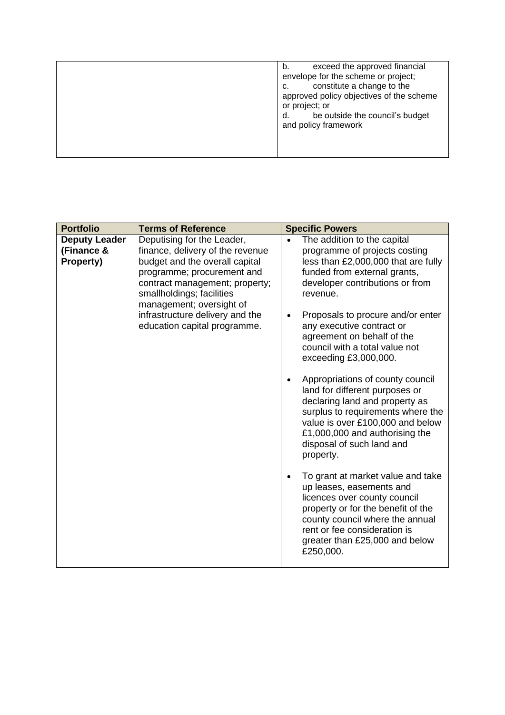| exceed the approved financial<br>b.<br>envelope for the scheme or project;<br>constitute a change to the<br>c.<br>approved policy objectives of the scheme<br>or project; or<br>be outside the council's budget<br>d.<br>and policy framework |
|-----------------------------------------------------------------------------------------------------------------------------------------------------------------------------------------------------------------------------------------------|
|                                                                                                                                                                                                                                               |

| <b>Deputy Leader</b><br>Deputising for the Leader,<br>The addition to the capital<br>(Finance &<br>finance, delivery of the revenue<br>programme of projects costing<br>Property)<br>budget and the overall capital<br>less than £2,000,000 that are fully<br>funded from external grants,<br>programme; procurement and<br>developer contributions or from<br>contract management; property;<br>smallholdings; facilities<br>revenue.<br>management; oversight of<br>infrastructure delivery and the<br>Proposals to procure and/or enter<br>education capital programme.<br>any executive contract or<br>agreement on behalf of the<br>council with a total value not<br>exceeding £3,000,000.<br>Appropriations of county council<br>land for different purposes or<br>declaring land and property as<br>surplus to requirements where the<br>value is over £100,000 and below<br>£1,000,000 and authorising the<br>disposal of such land and<br>property.<br>To grant at market value and take<br>up leases, easements and<br>licences over county council<br>property or for the benefit of the<br>county council where the annual<br>rent or fee consideration is<br>greater than £25,000 and below | <b>Portfolio</b> | <b>Terms of Reference</b> | <b>Specific Powers</b> |
|-----------------------------------------------------------------------------------------------------------------------------------------------------------------------------------------------------------------------------------------------------------------------------------------------------------------------------------------------------------------------------------------------------------------------------------------------------------------------------------------------------------------------------------------------------------------------------------------------------------------------------------------------------------------------------------------------------------------------------------------------------------------------------------------------------------------------------------------------------------------------------------------------------------------------------------------------------------------------------------------------------------------------------------------------------------------------------------------------------------------------------------------------------------------------------------------------------------|------------------|---------------------------|------------------------|
|                                                                                                                                                                                                                                                                                                                                                                                                                                                                                                                                                                                                                                                                                                                                                                                                                                                                                                                                                                                                                                                                                                                                                                                                           |                  |                           | £250,000.              |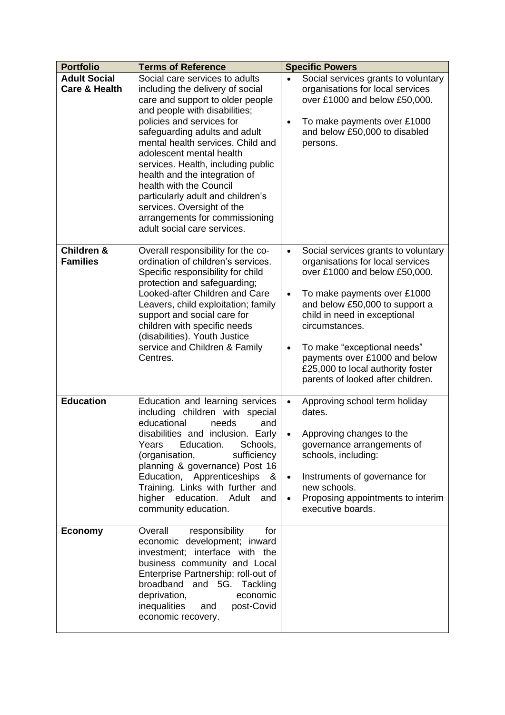| <b>Portfolio</b>                                | <b>Terms of Reference</b>                                                                                                                                                                                                                                                                                                                                                                                                                                                                                    | <b>Specific Powers</b>                                                                                                                                                                                                                                                                                                                                                                                       |  |
|-------------------------------------------------|--------------------------------------------------------------------------------------------------------------------------------------------------------------------------------------------------------------------------------------------------------------------------------------------------------------------------------------------------------------------------------------------------------------------------------------------------------------------------------------------------------------|--------------------------------------------------------------------------------------------------------------------------------------------------------------------------------------------------------------------------------------------------------------------------------------------------------------------------------------------------------------------------------------------------------------|--|
| <b>Adult Social</b><br><b>Care &amp; Health</b> | Social care services to adults<br>including the delivery of social<br>care and support to older people<br>and people with disabilities;<br>policies and services for<br>safeguarding adults and adult<br>mental health services. Child and<br>adolescent mental health<br>services. Health, including public<br>health and the integration of<br>health with the Council<br>particularly adult and children's<br>services. Oversight of the<br>arrangements for commissioning<br>adult social care services. | Social services grants to voluntary<br>organisations for local services<br>over £1000 and below £50,000.<br>To make payments over £1000<br>$\bullet$<br>and below £50,000 to disabled<br>persons.                                                                                                                                                                                                            |  |
| <b>Children &amp;</b><br><b>Families</b>        | Overall responsibility for the co-<br>ordination of children's services.<br>Specific responsibility for child<br>protection and safeguarding;<br>Looked-after Children and Care<br>Leavers, child exploitation; family<br>support and social care for<br>children with specific needs<br>(disabilities). Youth Justice<br>service and Children & Family<br>Centres.                                                                                                                                          | Social services grants to voluntary<br>$\bullet$<br>organisations for local services<br>over £1000 and below £50,000.<br>To make payments over £1000<br>$\bullet$<br>and below £50,000 to support a<br>child in need in exceptional<br>circumstances.<br>To make "exceptional needs"<br>$\bullet$<br>payments over £1000 and below<br>£25,000 to local authority foster<br>parents of looked after children. |  |
| <b>Education</b>                                | Education and learning services<br>including children with special<br>educational<br>needs<br>and<br>disabilities and inclusion. Early<br>Education.<br>Schools,<br>Years<br>sufficiency<br>(organisation,<br>planning & governance) Post 16<br>Education, Apprenticeships<br>8<br>Training. Links with further and<br>higher education.<br>Adult<br>and<br>community education.                                                                                                                             | Approving school term holiday<br>$\bullet$<br>dates.<br>Approving changes to the<br>governance arrangements of<br>schools, including:<br>Instruments of governance for<br>$\bullet$<br>new schools.<br>Proposing appointments to interim<br>$\bullet$<br>executive boards.                                                                                                                                   |  |
| <b>Economy</b>                                  | Overall<br>responsibility<br>for<br>economic development; inward<br>investment; interface with the<br>business community and Local<br>Enterprise Partnership; roll-out of<br>broadband and 5G. Tackling<br>deprivation,<br>economic<br>inequalities<br>post-Covid<br>and<br>economic recovery.                                                                                                                                                                                                               |                                                                                                                                                                                                                                                                                                                                                                                                              |  |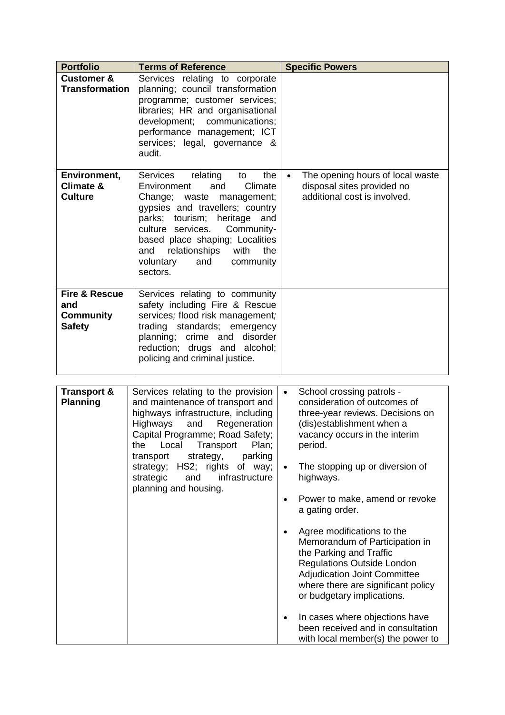| <b>Portfolio</b>                                                     | <b>Terms of Reference</b>                                                                                                                                                                                                                                                                                                    | <b>Specific Powers</b>                                                                                      |  |
|----------------------------------------------------------------------|------------------------------------------------------------------------------------------------------------------------------------------------------------------------------------------------------------------------------------------------------------------------------------------------------------------------------|-------------------------------------------------------------------------------------------------------------|--|
| <b>Customer &amp;</b><br><b>Transformation</b>                       | Services relating to corporate<br>planning; council transformation<br>programme; customer services;<br>libraries; HR and organisational<br>development; communications;<br>performance management; ICT<br>services; legal, governance &<br>audit.                                                                            |                                                                                                             |  |
| Environment,<br>Climate &<br><b>Culture</b>                          | the<br>Services<br>relating<br>to<br>Climate<br>Environment<br>and<br>Change; waste management;<br>gypsies and travellers; country<br>parks; tourism; heritage and<br>Community-<br>culture services.<br>based place shaping; Localities<br>the<br>relationships<br>with<br>and<br>voluntary<br>and<br>community<br>sectors. | The opening hours of local waste<br>$\bullet$<br>disposal sites provided no<br>additional cost is involved. |  |
| <b>Fire &amp; Rescue</b><br>and<br><b>Community</b><br><b>Safety</b> | Services relating to community<br>safety including Fire & Rescue<br>services; flood risk management;<br>trading standards; emergency<br>planning; crime and disorder<br>reduction; drugs and alcohol;<br>policing and criminal justice.                                                                                      |                                                                                                             |  |

| <b>Transport &amp;</b><br><b>Planning</b> | Services relating to the provision<br>and maintenance of transport and<br>highways infrastructure, including<br>Regeneration<br>Highways<br>and<br>Capital Programme; Road Safety;<br>Local<br>Transport<br>the<br>Plan;<br>parking<br>transport<br>strategy,<br>strategy; HS2; rights of way;<br>infrastructure<br>strategic<br>and<br>planning and housing. | School crossing patrols -<br>$\bullet$<br>consideration of outcomes of<br>three-year reviews. Decisions on<br>(dis)establishment when a<br>vacancy occurs in the interim<br>period.<br>The stopping up or diversion of<br>$\bullet$<br>highways.<br>Power to make, amend or revoke                                                                                               |
|-------------------------------------------|---------------------------------------------------------------------------------------------------------------------------------------------------------------------------------------------------------------------------------------------------------------------------------------------------------------------------------------------------------------|----------------------------------------------------------------------------------------------------------------------------------------------------------------------------------------------------------------------------------------------------------------------------------------------------------------------------------------------------------------------------------|
|                                           |                                                                                                                                                                                                                                                                                                                                                               | a gating order.<br>Agree modifications to the<br>٠<br>Memorandum of Participation in<br>the Parking and Traffic<br><b>Regulations Outside London</b><br><b>Adjudication Joint Committee</b><br>where there are significant policy<br>or budgetary implications.<br>In cases where objections have<br>٠<br>been received and in consultation<br>with local member(s) the power to |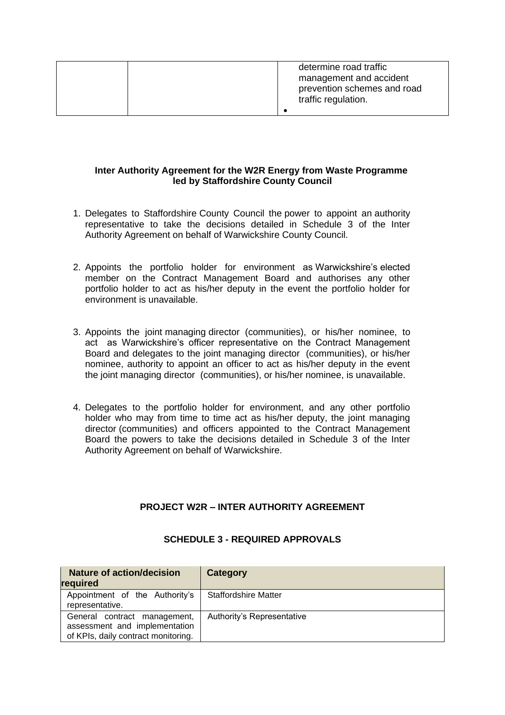| determine road traffic<br>management and accident<br>prevention schemes and road<br>traffic regulation. |
|---------------------------------------------------------------------------------------------------------|
|                                                                                                         |

### **Inter Authority Agreement for the W2R Energy from Waste Programme led by Staffordshire County Council**

- 1. Delegates to Staffordshire County Council the power to appoint an authority representative to take the decisions detailed in Schedule 3 of the Inter Authority Agreement on behalf of Warwickshire County Council.
- 2. Appoints the portfolio holder for environment as Warwickshire's elected member on the Contract Management Board and authorises any other portfolio holder to act as his/her deputy in the event the portfolio holder for environment is unavailable.
- 3. Appoints the joint managing director (communities), or his/her nominee, to act as Warwickshire's officer representative on the Contract Management Board and delegates to the joint managing director (communities), or his/her nominee, authority to appoint an officer to act as his/her deputy in the event the joint managing director (communities), or his/her nominee, is unavailable.
- 4. Delegates to the portfolio holder for environment, and any other portfolio holder who may from time to time act as his/her deputy, the joint managing director (communities) and officers appointed to the Contract Management Board the powers to take the decisions detailed in Schedule 3 of the Inter Authority Agreement on behalf of Warwickshire.

## **PROJECT W2R – INTER AUTHORITY AGREEMENT**

| <b>Nature of action/decision</b><br>required                                                         | Category                    |
|------------------------------------------------------------------------------------------------------|-----------------------------|
| Appointment of the Authority's<br>representative.                                                    | <b>Staffordshire Matter</b> |
| General contract management,<br>assessment and implementation<br>of KPIs, daily contract monitoring. | Authority's Representative  |

#### **SCHEDULE 3 - REQUIRED APPROVALS**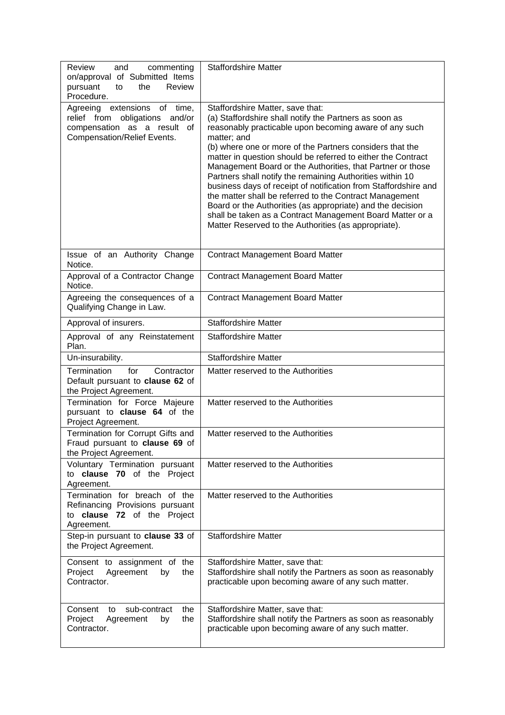| Review<br>and<br>commenting<br>on/approval of Submitted Items<br>Review<br>pursuant<br>the<br>to<br>Procedure.                        | <b>Staffordshire Matter</b>                                                                                                                                                                                                                                                                                                                                                                                                                                                                                                                                                                                                                                                                                                                 |
|---------------------------------------------------------------------------------------------------------------------------------------|---------------------------------------------------------------------------------------------------------------------------------------------------------------------------------------------------------------------------------------------------------------------------------------------------------------------------------------------------------------------------------------------------------------------------------------------------------------------------------------------------------------------------------------------------------------------------------------------------------------------------------------------------------------------------------------------------------------------------------------------|
| Agreeing<br>extensions of<br>time,<br>relief from obligations<br>and/or<br>compensation as a result of<br>Compensation/Relief Events. | Staffordshire Matter, save that:<br>(a) Staffordshire shall notify the Partners as soon as<br>reasonably practicable upon becoming aware of any such<br>matter; and<br>(b) where one or more of the Partners considers that the<br>matter in question should be referred to either the Contract<br>Management Board or the Authorities, that Partner or those<br>Partners shall notify the remaining Authorities within 10<br>business days of receipt of notification from Staffordshire and<br>the matter shall be referred to the Contract Management<br>Board or the Authorities (as appropriate) and the decision<br>shall be taken as a Contract Management Board Matter or a<br>Matter Reserved to the Authorities (as appropriate). |
| Issue of an Authority Change<br>Notice.                                                                                               | <b>Contract Management Board Matter</b>                                                                                                                                                                                                                                                                                                                                                                                                                                                                                                                                                                                                                                                                                                     |
| Approval of a Contractor Change<br>Notice.                                                                                            | <b>Contract Management Board Matter</b>                                                                                                                                                                                                                                                                                                                                                                                                                                                                                                                                                                                                                                                                                                     |
| Agreeing the consequences of a<br>Qualifying Change in Law.                                                                           | <b>Contract Management Board Matter</b>                                                                                                                                                                                                                                                                                                                                                                                                                                                                                                                                                                                                                                                                                                     |
| Approval of insurers.                                                                                                                 | <b>Staffordshire Matter</b>                                                                                                                                                                                                                                                                                                                                                                                                                                                                                                                                                                                                                                                                                                                 |
| Approval of any Reinstatement<br>Plan.                                                                                                | <b>Staffordshire Matter</b>                                                                                                                                                                                                                                                                                                                                                                                                                                                                                                                                                                                                                                                                                                                 |
| Un-insurability.                                                                                                                      | <b>Staffordshire Matter</b>                                                                                                                                                                                                                                                                                                                                                                                                                                                                                                                                                                                                                                                                                                                 |
| Termination<br>for<br>Contractor<br>Default pursuant to clause 62 of<br>the Project Agreement.                                        | Matter reserved to the Authorities                                                                                                                                                                                                                                                                                                                                                                                                                                                                                                                                                                                                                                                                                                          |
| Termination for Force Majeure<br>pursuant to clause 64 of the<br>Project Agreement.                                                   | Matter reserved to the Authorities                                                                                                                                                                                                                                                                                                                                                                                                                                                                                                                                                                                                                                                                                                          |
| Termination for Corrupt Gifts and<br>Fraud pursuant to clause 69 of<br>the Project Agreement.                                         | Matter reserved to the Authorities                                                                                                                                                                                                                                                                                                                                                                                                                                                                                                                                                                                                                                                                                                          |
| Voluntary Termination pursuant<br>clause 70 of the Project<br>to<br>Agreement.                                                        | Matter reserved to the Authorities                                                                                                                                                                                                                                                                                                                                                                                                                                                                                                                                                                                                                                                                                                          |
| Termination for breach of the<br>Refinancing Provisions pursuant<br>to clause 72 of the Project<br>Agreement.                         | Matter reserved to the Authorities                                                                                                                                                                                                                                                                                                                                                                                                                                                                                                                                                                                                                                                                                                          |
| Step-in pursuant to clause 33 of<br>the Project Agreement.                                                                            | <b>Staffordshire Matter</b>                                                                                                                                                                                                                                                                                                                                                                                                                                                                                                                                                                                                                                                                                                                 |
| Consent to assignment of the<br>Project<br>Agreement<br>the<br>by<br>Contractor.                                                      | Staffordshire Matter, save that:<br>Staffordshire shall notify the Partners as soon as reasonably<br>practicable upon becoming aware of any such matter.                                                                                                                                                                                                                                                                                                                                                                                                                                                                                                                                                                                    |
| Consent<br>sub-contract<br>the<br>to<br>Project<br>Agreement<br>the<br>by<br>Contractor.                                              | Staffordshire Matter, save that:<br>Staffordshire shall notify the Partners as soon as reasonably<br>practicable upon becoming aware of any such matter.                                                                                                                                                                                                                                                                                                                                                                                                                                                                                                                                                                                    |